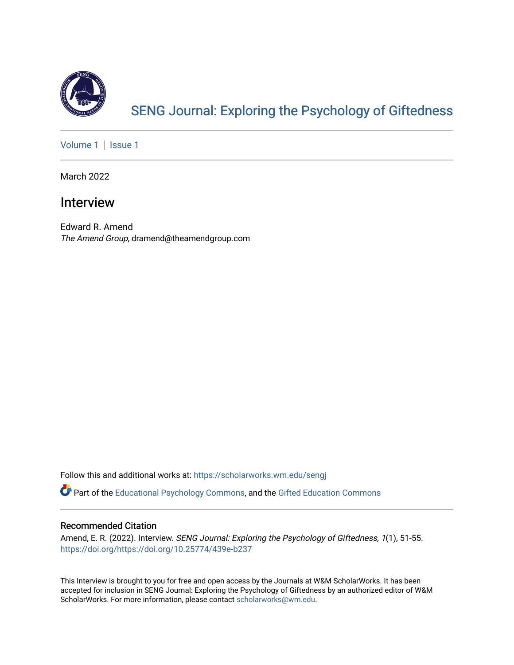

# [SENG Journal: Exploring the Psychology of Giftedness](https://scholarworks.wm.edu/sengj)

[Volume 1](https://scholarworks.wm.edu/sengj/vol1) | Issue 1

March 2022

# Interview

Edward R. Amend The Amend Group, dramend@theamendgroup.com

Follow this and additional works at: [https://scholarworks.wm.edu/sengj](https://scholarworks.wm.edu/sengj?utm_source=scholarworks.wm.edu%2Fsengj%2Fvol1%2Fiss1%2F8&utm_medium=PDF&utm_campaign=PDFCoverPages)

Part of the [Educational Psychology Commons,](http://network.bepress.com/hgg/discipline/798?utm_source=scholarworks.wm.edu%2Fsengj%2Fvol1%2Fiss1%2F8&utm_medium=PDF&utm_campaign=PDFCoverPages) and the [Gifted Education Commons](http://network.bepress.com/hgg/discipline/1048?utm_source=scholarworks.wm.edu%2Fsengj%2Fvol1%2Fiss1%2F8&utm_medium=PDF&utm_campaign=PDFCoverPages) 

## Recommended Citation

Amend, E. R. (2022). Interview. SENG Journal: Exploring the Psychology of Giftedness, 1(1), 51-55. <https://doi.org/https://doi.org/10.25774/439e-b237>

This Interview is brought to you for free and open access by the Journals at W&M ScholarWorks. It has been accepted for inclusion in SENG Journal: Exploring the Psychology of Giftedness by an authorized editor of W&M ScholarWorks. For more information, please contact [scholarworks@wm.edu.](mailto:scholarworks@wm.edu)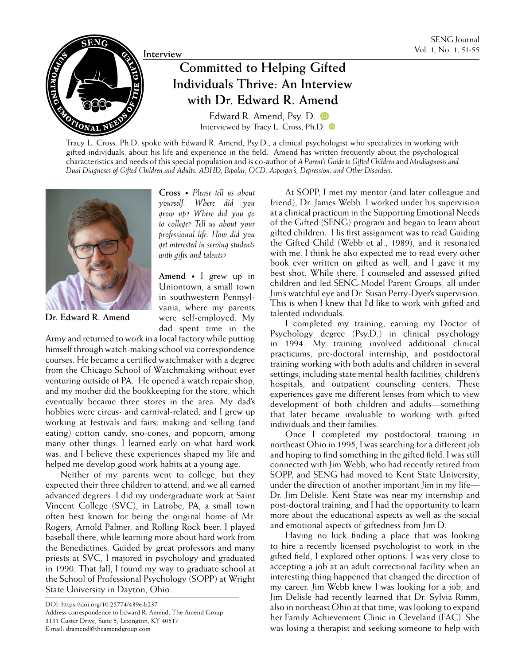

# **Individuals Thrive: An Interview with Dr. Edward R. Amend**

[Edward R. Amend, Psy. D.](https://orcid.org/0000-0002-9093-5963) **D** Interviewed by [Tracy L. Cross, Ph.D.](https://orcid.org/0000-0001-5026-0626)  $\bullet$ 

Tracy L. Cross. Ph.D. spoke with Edward R. Amend, Psy.D., a clinical psychologist who specializes in working with gifted individuals, about his life and experience in the field. Amend has written frequently about the psychological characteristics and needs of this special population and is co-author of *A Parent's Guide to Gifted Children* and *Misdiagnosis and Dual Diagnoses of Gifted Children and Adults: ADHD, Bipolar, OCD, Asperger's, Depression, and Other Disorders.* 



**Dr. Edward R. Amend**

**Cross •** *Please tell us about yourself. Where did you grow up? Where did you go to college? Tell us about your professional life. How did you get interested in serving students with gifts and talents?*

**Amend •** I grew up in Uniontown, a small town in southwestern Pennsylvania, where my parents were self-employed. My dad spent time in the

Army and returned to work in a local factory while putting himself through watch-making school via correspondence courses. He became a certified watchmaker with a degree from the Chicago School of Watchmaking without ever venturing outside of PA. He opened a watch repair shop, and my mother did the bookkeeping for the store, which eventually became three stores in the area. My dad's hobbies were circus- and carnival-related, and I grew up working at festivals and fairs, making and selling (and eating) cotton candy, sno-cones, and popcorn, among many other things. I learned early on what hard work was, and I believe these experiences shaped my life and helped me develop good work habits at a young age.

Neither of my parents went to college, but they expected their three children to attend, and we all earned advanced degrees. I did my undergraduate work at Saint Vincent College (SVC), in Latrobe, PA, a small town often best known for being the original home of Mr. Rogers, Arnold Palmer, and Rolling Rock beer. I played baseball there, while learning more about hard work from the Benedictines. Guided by great professors and many priests at SVC, I majored in psychology and graduated in 1990. That fall, I found my way to graduate school at the School of Professional Psychology (SOPP) at Wright State University in Dayton, Ohio.

DOI: https://doi.org/10.25774/439e-b237 Address correspondence to Edward R. Amend, The Amend Group 3131 Custer Drive, Suite 5, Lexington, KY 40517 E-mail: dramend@theamendgroup.com

At SOPP, I met my mentor (and later colleague and friend), Dr. James Webb. I worked under his supervision at a clinical practicum in the Supporting Emotional Needs of the Gifted (SENG) program and began to learn about gifted children. His first assignment was to read Guiding the Gifted Child (Webb et al., 1989), and it resonated with me. I think he also expected me to read every other book ever written on gifted as well, and I gave it my best shot. While there, I counseled and assessed gifted children and led SENG-Model Parent Groups, all under Jim's watchful eye and Dr. Susan Perry-Dyer's supervision. This is when I knew that I'd like to work with gifted and talented individuals.

I completed my training, earning my Doctor of Psychology degree (Psy.D.) in clinical psychology in 1994. My training involved additional clinical practicums, pre-doctoral internship, and postdoctoral training working with both adults and children in several settings, including state mental health facilities, children's hospitals, and outpatient counseling centers. These experiences gave me different lenses from which to view development of both children and adults—something that later became invaluable to working with gifted individuals and their families.

Once I completed my postdoctoral training in northeast Ohio in 1995, I was searching for a different job and hoping to find something in the gifted field. I was still connected with Jim Webb, who had recently retired from SOPP, and SENG had moved to Kent State University, under the direction of another important Jim in my life— Dr. Jim Delisle. Kent State was near my internship and post-doctoral training, and I had the opportunity to learn more about the educational aspects as well as the social and emotional aspects of giftedness from Jim D.

Having no luck finding a place that was looking to hire a recently licensed psychologist to work in the gifted field, I explored other options. I was very close to accepting a job at an adult correctional facility when an interesting thing happened that changed the direction of my career. Jim Webb knew I was looking for a job, and Jim Delisle had recently learned that Dr. Sylvia Rimm, also in northeast Ohio at that time, was looking to expand her Family Achievement Clinic in Cleveland (FAC). She was losing a therapist and seeking someone to help with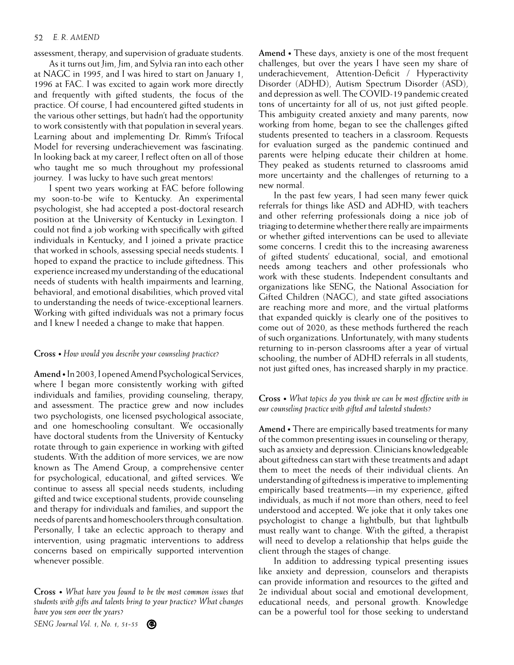#### 52 *E. R. AMEND*

assessment, therapy, and supervision of graduate students.

As it turns out Jim, Jim, and Sylvia ran into each other at NAGC in 1995, and I was hired to start on January 1, 1996 at FAC. I was excited to again work more directly and frequently with gifted students, the focus of the practice. Of course, I had encountered gifted students in the various other settings, but hadn't had the opportunity to work consistently with that population in several years. Learning about and implementing Dr. Rimm's Trifocal Model for reversing underachievement was fascinating. In looking back at my career, I reflect often on all of those who taught me so much throughout my professional journey. I was lucky to have such great mentors!

I spent two years working at FAC before following my soon-to-be wife to Kentucky. An experimental psychologist, she had accepted a post-doctoral research position at the University of Kentucky in Lexington. I could not find a job working with specifically with gifted individuals in Kentucky, and I joined a private practice that worked in schools, assessing special needs students. I hoped to expand the practice to include giftedness. This experience increased my understanding of the educational needs of students with health impairments and learning, behavioral, and emotional disabilities, which proved vital to understanding the needs of twice-exceptional learners. Working with gifted individuals was not a primary focus and I knew I needed a change to make that happen.

## **Cross •** *How would you describe your counseling practice?*

**Amend •** In 2003, I opened Amend Psychological Services, where I began more consistently working with gifted individuals and families, providing counseling, therapy, and assessment. The practice grew and now includes two psychologists, one licensed psychological associate, and one homeschooling consultant. We occasionally have doctoral students from the University of Kentucky rotate through to gain experience in working with gifted students. With the addition of more services, we are now known as The Amend Group, a comprehensive center for psychological, educational, and gifted services. We continue to assess all special needs students, including gifted and twice exceptional students, provide counseling and therapy for individuals and families, and support the needs of parents and homeschoolers through consultation. Personally, I take an eclectic approach to therapy and intervention, using pragmatic interventions to address concerns based on empirically supported intervention whenever possible.

**Cross •** *What have you found to be the most common issues that students with gifts and talents bring to your practice? What changes have you seen over the years?*

**Amend •** These days, anxiety is one of the most frequent challenges, but over the years I have seen my share of underachievement, Attention-Deficit / Hyperactivity Disorder (ADHD), Autism Spectrum Disorder (ASD), and depression as well. The COVID-19 pandemic created tons of uncertainty for all of us, not just gifted people. This ambiguity created anxiety and many parents, now working from home, began to see the challenges gifted students presented to teachers in a classroom. Requests for evaluation surged as the pandemic continued and parents were helping educate their children at home. They peaked as students returned to classrooms amid more uncertainty and the challenges of returning to a new normal.

In the past few years, I had seen many fewer quick referrals for things like ASD and ADHD, with teachers and other referring professionals doing a nice job of triaging to determine whether there really are impairments or whether gifted interventions can be used to alleviate some concerns. I credit this to the increasing awareness of gifted students' educational, social, and emotional needs among teachers and other professionals who work with these students. Independent consultants and organizations like SENG, the National Association for Gifted Children (NAGC), and state gifted associations are reaching more and more, and the virtual platforms that expanded quickly is clearly one of the positives to come out of 2020, as these methods furthered the reach of such organizations. Unfortunately, with many students returning to in-person classrooms after a year of virtual schooling, the number of ADHD referrals in all students, not just gifted ones, has increased sharply in my practice.

## **Cross •** *What topics do you think we can be most effective with in our counseling practice with gifted and talented students?*

**Amend •** There are empirically based treatments for many of the common presenting issues in counseling or therapy, such as anxiety and depression. Clinicians knowledgeable about giftedness can start with these treatments and adapt them to meet the needs of their individual clients. An understanding of giftedness is imperative to implementing empirically based treatments—in my experience, gifted individuals, as much if not more than others, need to feel understood and accepted. We joke that it only takes one psychologist to change a lightbulb, but that lightbulb must really want to change. With the gifted, a therapist will need to develop a relationship that helps guide the client through the stages of change.

In addition to addressing typical presenting issues like anxiety and depression, counselors and therapists can provide information and resources to the gifted and 2e individual about social and emotional development, educational needs, and personal growth. Knowledge can be a powerful tool for those seeking to understand

*SENG Journal Vol. 1, No. 1, 51-55*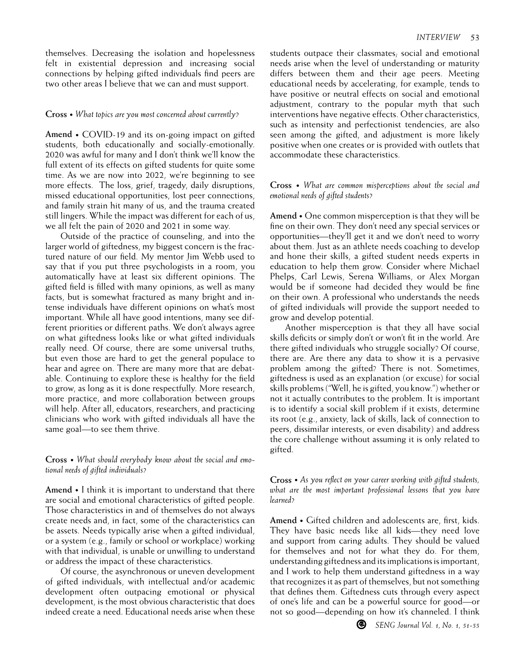themselves. Decreasing the isolation and hopelessness felt in existential depression and increasing social connections by helping gifted individuals find peers are two other areas I believe that we can and must support.

### **Cross •** *What topics are you most concerned about currently?*

**Amend •** COVID-19 and its on-going impact on gifted students, both educationally and socially-emotionally. 2020 was awful for many and I don't think we'll know the full extent of its effects on gifted students for quite some time. As we are now into 2022, we're beginning to see more effects. The loss, grief, tragedy, daily disruptions, missed educational opportunities, lost peer connections, and family strain hit many of us, and the trauma created still lingers. While the impact was different for each of us, we all felt the pain of 2020 and 2021 in some way.

Outside of the practice of counseling, and into the larger world of giftedness, my biggest concern is the fractured nature of our field. My mentor Jim Webb used to say that if you put three psychologists in a room, you automatically have at least six different opinions. The gifted field is filled with many opinions, as well as many facts, but is somewhat fractured as many bright and intense individuals have different opinions on what's most important. While all have good intentions, many see different priorities or different paths. We don't always agree on what giftedness looks like or what gifted individuals really need. Of course, there are some universal truths, but even those are hard to get the general populace to hear and agree on. There are many more that are debatable. Continuing to explore these is healthy for the field to grow, as long as it is done respectfully. More research, more practice, and more collaboration between groups will help. After all, educators, researchers, and practicing clinicians who work with gifted individuals all have the same goal—to see them thrive.

**Cross •** *What should everybody know about the social and emotional needs of gifted individuals?* 

**Amend •** I think it is important to understand that there are social and emotional characteristics of gifted people. Those characteristics in and of themselves do not always create needs and, in fact, some of the characteristics can be assets. Needs typically arise when a gifted individual, or a system (e.g., family or school or workplace) working with that individual, is unable or unwilling to understand or address the impact of these characteristics.

Of course, the asynchronous or uneven development of gifted individuals, with intellectual and/or academic development often outpacing emotional or physical development, is the most obvious characteristic that does indeed create a need. Educational needs arise when these students outpace their classmates; social and emotional needs arise when the level of understanding or maturity differs between them and their age peers. Meeting educational needs by accelerating, for example, tends to have positive or neutral effects on social and emotional adjustment, contrary to the popular myth that such interventions have negative effects. Other characteristics, such as intensity and perfectionist tendencies, are also seen among the gifted, and adjustment is more likely positive when one creates or is provided with outlets that accommodate these characteristics.

## **Cross •** *What are common misperceptions about the social and emotional needs of gifted students?*

**Amend •** One common misperception is that they will be fine on their own. They don't need any special services or opportunities—they'll get it and we don't need to worry about them. Just as an athlete needs coaching to develop and hone their skills, a gifted student needs experts in education to help them grow. Consider where Michael Phelps, Carl Lewis, Serena Williams, or Alex Morgan would be if someone had decided they would be fine on their own. A professional who understands the needs of gifted individuals will provide the support needed to grow and develop potential.

Another misperception is that they all have social skills deficits or simply don't or won't fit in the world. Are there gifted individuals who struggle socially? Of course, there are. Are there any data to show it is a pervasive problem among the gifted? There is not. Sometimes, giftedness is used as an explanation (or excuse) for social skills problems ("Well, he is gifted, you know.") whether or not it actually contributes to the problem. It is important is to identify a social skill problem if it exists, determine its root (e.g., anxiety, lack of skills, lack of connection to peers, dissimilar interests, or even disability) and address the core challenge without assuming it is only related to gifted.

**Cross •** *As you reflect on your career working with gifted students, what are the most important professional lessons that you have learned?*

**Amend •** Gifted children and adolescents are, first, kids. They have basic needs like all kids—they need love and support from caring adults. They should be valued for themselves and not for what they do. For them, understanding giftedness and its implications is important, and I work to help them understand giftedness in a way that recognizes it as part of themselves, but not something that defines them. Giftedness cuts through every aspect of one's life and can be a powerful source for good—or not so good—depending on how it's channeled. I think

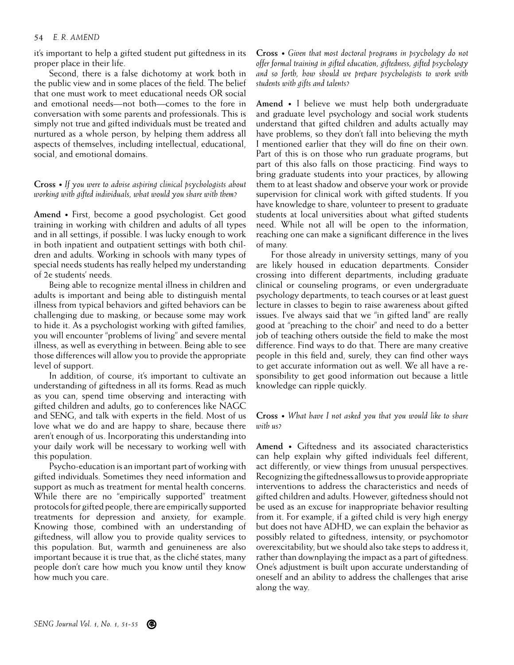#### 54 *E. R. AMEND*

it's important to help a gifted student put giftedness in its proper place in their life.

Second, there is a false dichotomy at work both in the public view and in some places of the field. The belief that one must work to meet educational needs OR social and emotional needs—not both—comes to the fore in conversation with some parents and professionals. This is simply not true and gifted individuals must be treated and nurtured as a whole person, by helping them address all aspects of themselves, including intellectual, educational, social, and emotional domains.

**Cross •** *If you were to advise aspiring clinical psychologists about working with gifted individuals, what would you share with them?* 

**Amend •** First, become a good psychologist. Get good training in working with children and adults of all types and in all settings, if possible. I was lucky enough to work in both inpatient and outpatient settings with both children and adults. Working in schools with many types of special needs students has really helped my understanding of 2e students' needs.

Being able to recognize mental illness in children and adults is important and being able to distinguish mental illness from typical behaviors and gifted behaviors can be challenging due to masking, or because some may work to hide it. As a psychologist working with gifted families, you will encounter "problems of living" and severe mental illness, as well as everything in between. Being able to see those differences will allow you to provide the appropriate level of support.

In addition, of course, it's important to cultivate an understanding of giftedness in all its forms. Read as much as you can, spend time observing and interacting with gifted children and adults, go to conferences like NAGC and SENG, and talk with experts in the field. Most of us love what we do and are happy to share, because there aren't enough of us. Incorporating this understanding into your daily work will be necessary to working well with this population.

Psycho-education is an important part of working with gifted individuals. Sometimes they need information and support as much as treatment for mental health concerns. While there are no "empirically supported" treatment protocols for gifted people, there are empirically supported treatments for depression and anxiety, for example. Knowing those, combined with an understanding of giftedness, will allow you to provide quality services to this population. But, warmth and genuineness are also important because it is true that, as the cliché states, many people don't care how much you know until they know how much you care.

**Cross •** *Given that most doctoral programs in psychology do not offer formal training in gifted education, giftedness, gifted psychology and so forth, how should we prepare psychologists to work with students with gifts and talents?* 

**Amend •** I believe we must help both undergraduate and graduate level psychology and social work students understand that gifted children and adults actually may have problems, so they don't fall into believing the myth I mentioned earlier that they will do fine on their own. Part of this is on those who run graduate programs, but part of this also falls on those practicing. Find ways to bring graduate students into your practices, by allowing them to at least shadow and observe your work or provide supervision for clinical work with gifted students. If you have knowledge to share, volunteer to present to graduate students at local universities about what gifted students need. While not all will be open to the information, reaching one can make a significant difference in the lives of many.

For those already in university settings, many of you are likely housed in education departments. Consider crossing into different departments, including graduate clinical or counseling programs, or even undergraduate psychology departments, to teach courses or at least guest lecture in classes to begin to raise awareness about gifted issues. I've always said that we "in gifted land" are really good at "preaching to the choir" and need to do a better job of teaching others outside the field to make the most difference. Find ways to do that. There are many creative people in this field and, surely, they can find other ways to get accurate information out as well. We all have a responsibility to get good information out because a little knowledge can ripple quickly.

**Cross •** *What have I not asked you that you would like to share with us?*

**Amend •** Giftedness and its associated characteristics can help explain why gifted individuals feel different, act differently, or view things from unusual perspectives. Recognizing the giftedness allows us to provide appropriate interventions to address the characteristics and needs of gifted children and adults. However, giftedness should not be used as an excuse for inappropriate behavior resulting from it. For example, if a gifted child is very high energy but does not have ADHD, we can explain the behavior as possibly related to giftedness, intensity, or psychomotor overexcitability, but we should also take steps to address it, rather than downplaying the impact as a part of giftedness. One's adjustment is built upon accurate understanding of oneself and an ability to address the challenges that arise along the way.